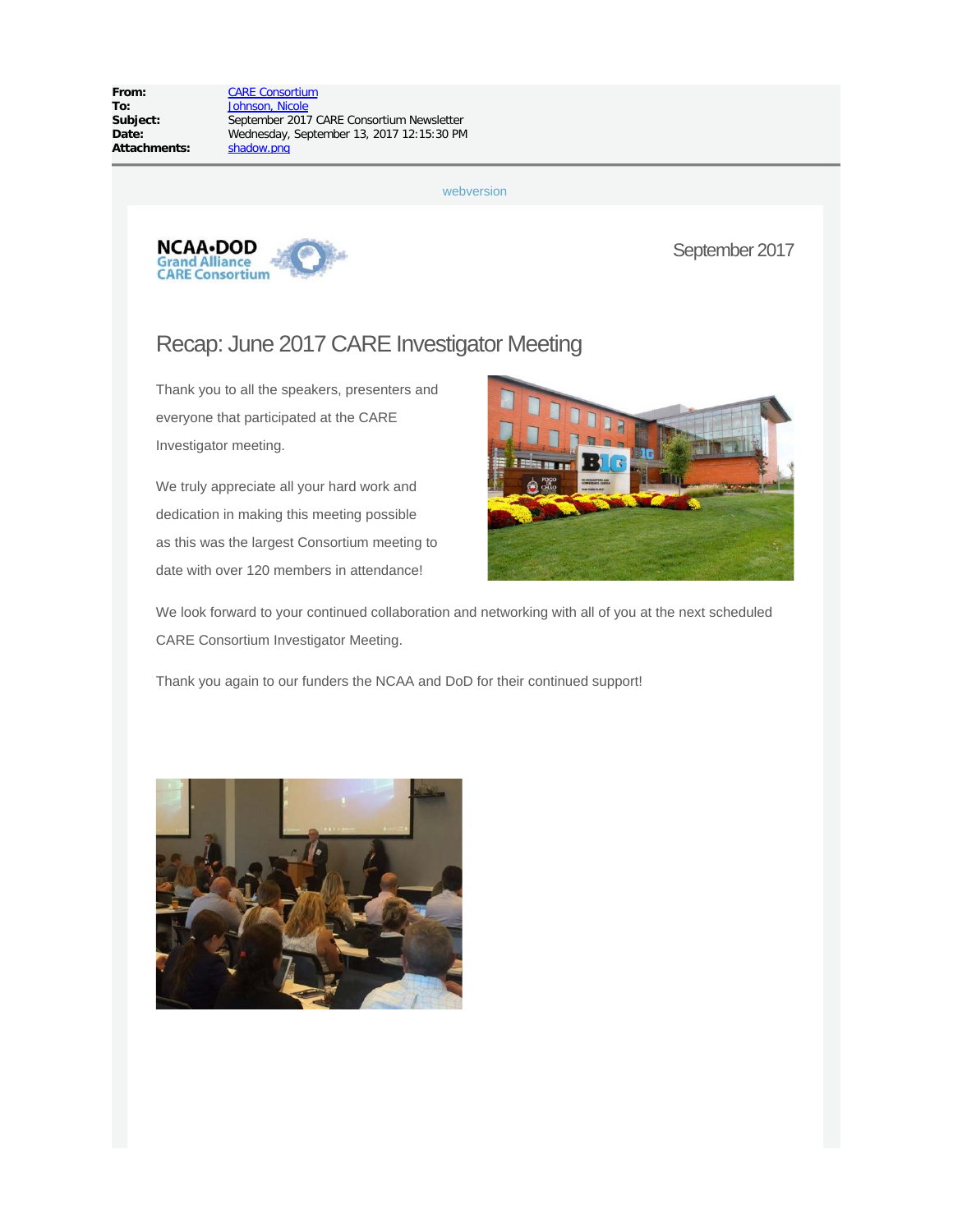**From:** [CARE Consortium](mailto:careaoc@iupui.edu)<br> **To:** Johnson, Nicole Subject: September 2017 CARE Consortium Newsletter<br>
Date: Wednesday, September 13, 2017 12:15:30 PM Wednesday, September 13, 2017 12:15:30 PM<br>shadow.png

[webversion](http://careconsortium.net/mailster/1831/00000000000000000000000000000000/aHR0cDovL2NhcmVjb25zb3J0aXVtLm5ldC9uZXdzbGV0dGVyL3NlcHRlbWJlci0yMDE3LWNhcmUtY29uc29ydGl1bS1uZXdzbGV0dGVyLTIv)



September 2017

## Recap: June 2017 CARE Investigator Meeting

Thank you to all the speakers, presenters and everyone that participated at the CARE Investigator meeting.

We truly appreciate all your hard work and dedication in making this meeting possible as this was the largest Consortium meeting to date with over 120 members in attendance!



We look forward to your continued collaboration and networking with all of you at the next scheduled CARE Consortium Investigator Meeting.

Thank you again to our funders the NCAA and DoD for their continued support!

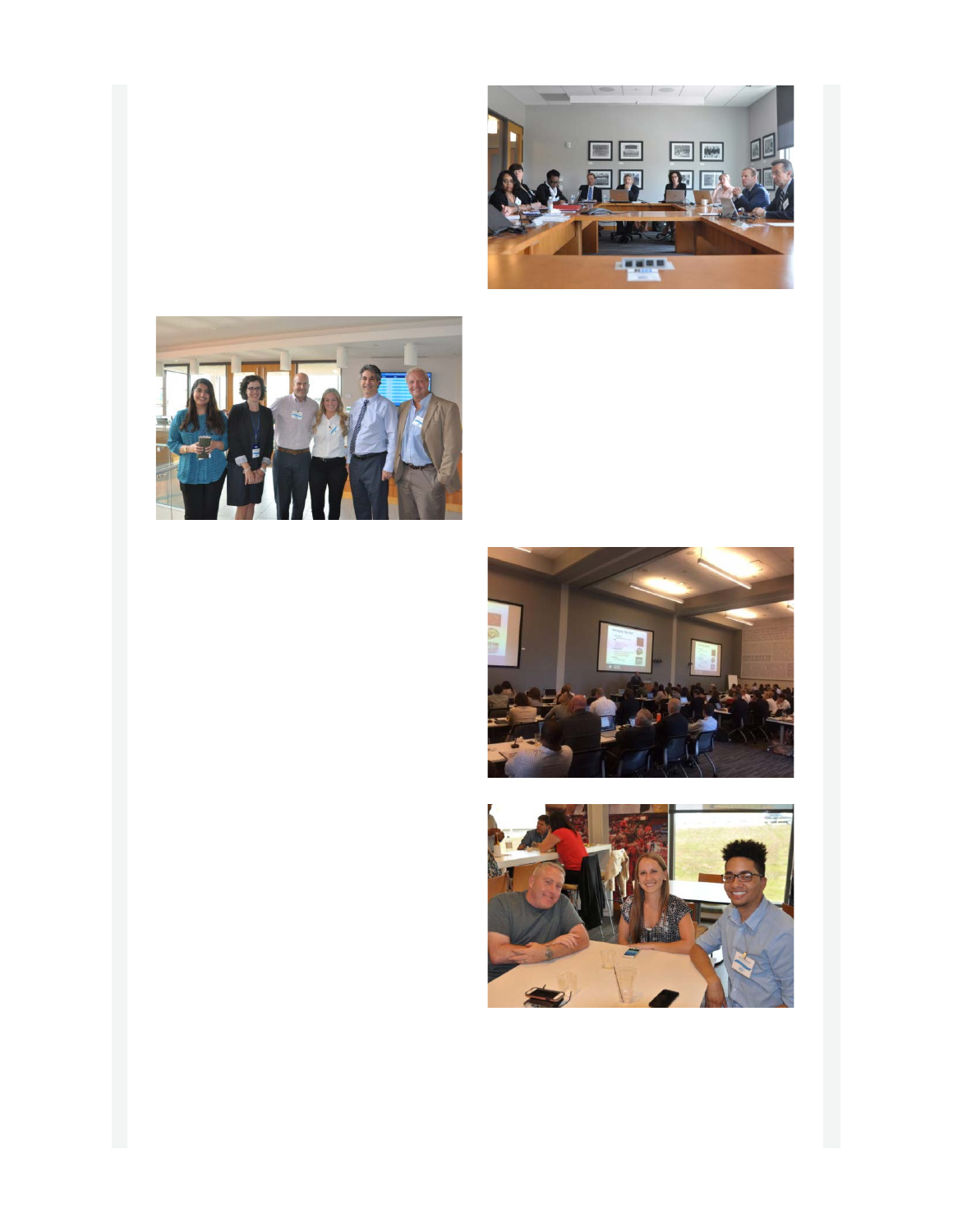





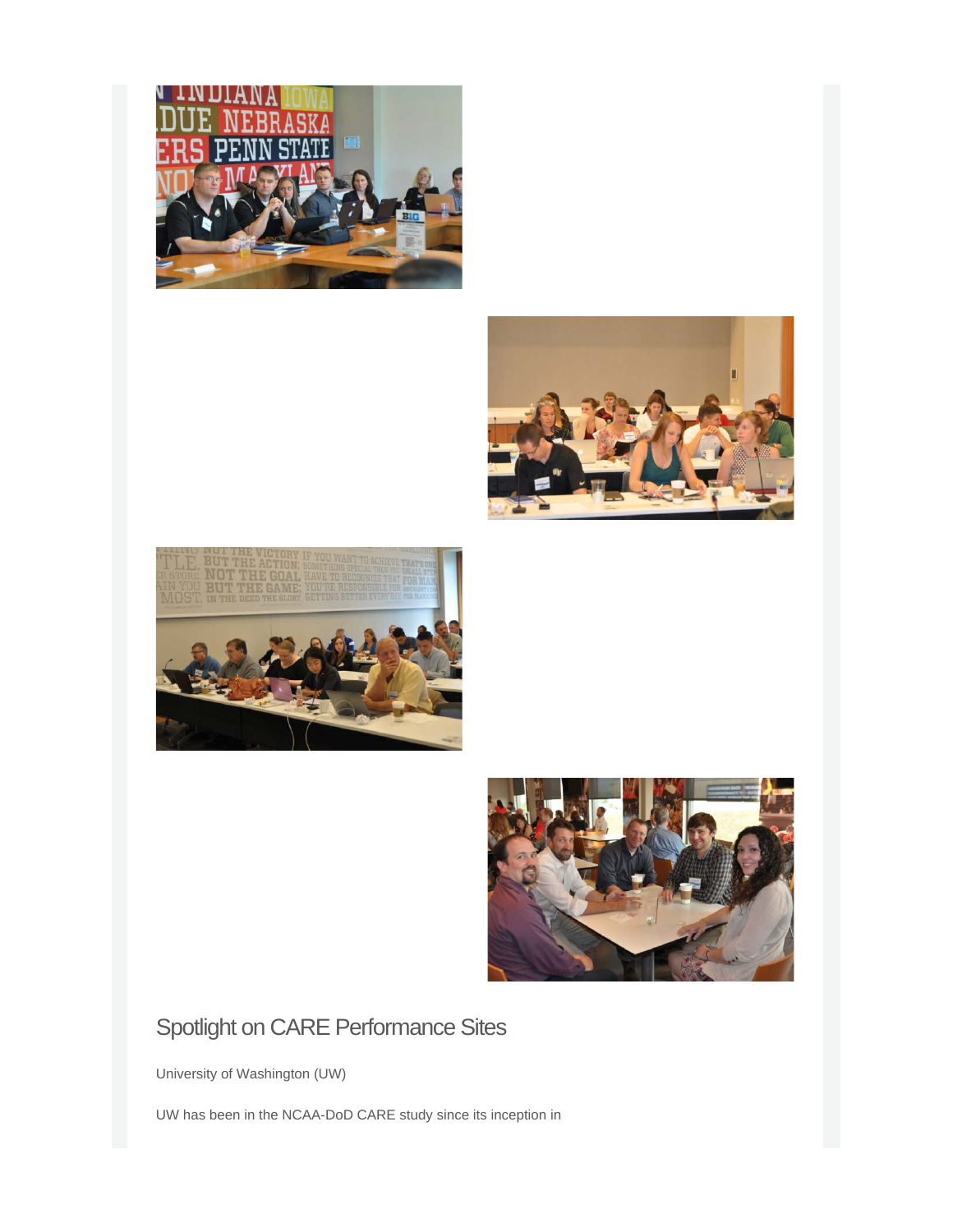







# Spotlight on CARE Performance Sites

University of Washington (UW)

UW has been in the NCAA-DoD CARE study since its inception in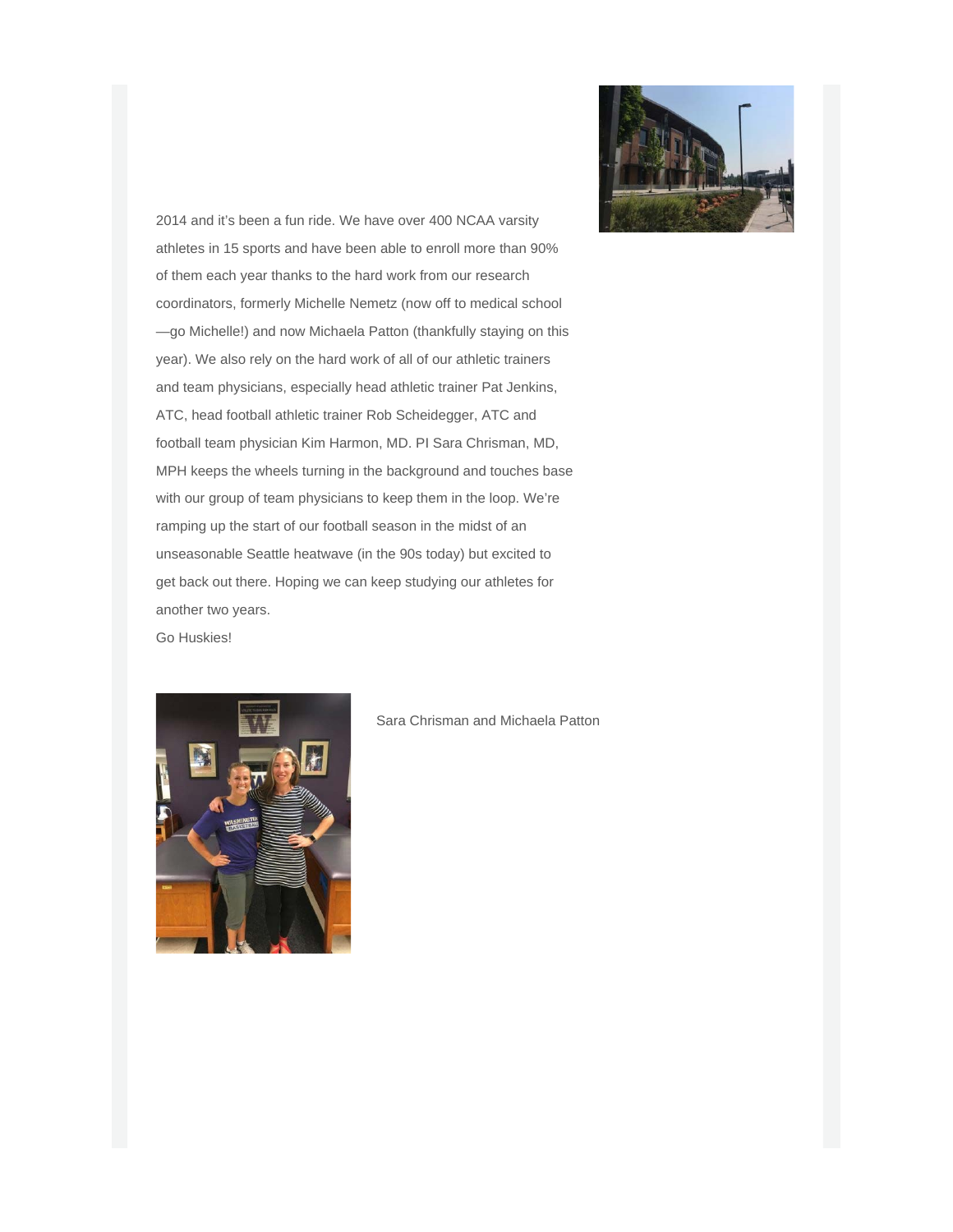

2014 and it's been a fun ride. We have over 400 NCAA varsity athletes in 15 sports and have been able to enroll more than 90% of them each year thanks to the hard work from our research coordinators, formerly Michelle Nemetz (now off to medical school —go Michelle!) and now Michaela Patton (thankfully staying on this year). We also rely on the hard work of all of our athletic trainers and team physicians, especially head athletic trainer Pat Jenkins, ATC, head football athletic trainer Rob Scheidegger, ATC and football team physician Kim Harmon, MD. PI Sara Chrisman, MD, MPH keeps the wheels turning in the background and touches base with our group of team physicians to keep them in the loop. We're ramping up the start of our football season in the midst of an unseasonable Seattle heatwave (in the 90s today) but excited to get back out there. Hoping we can keep studying our athletes for another two years. Go Huskies!



Sara Chrisman and Michaela Patton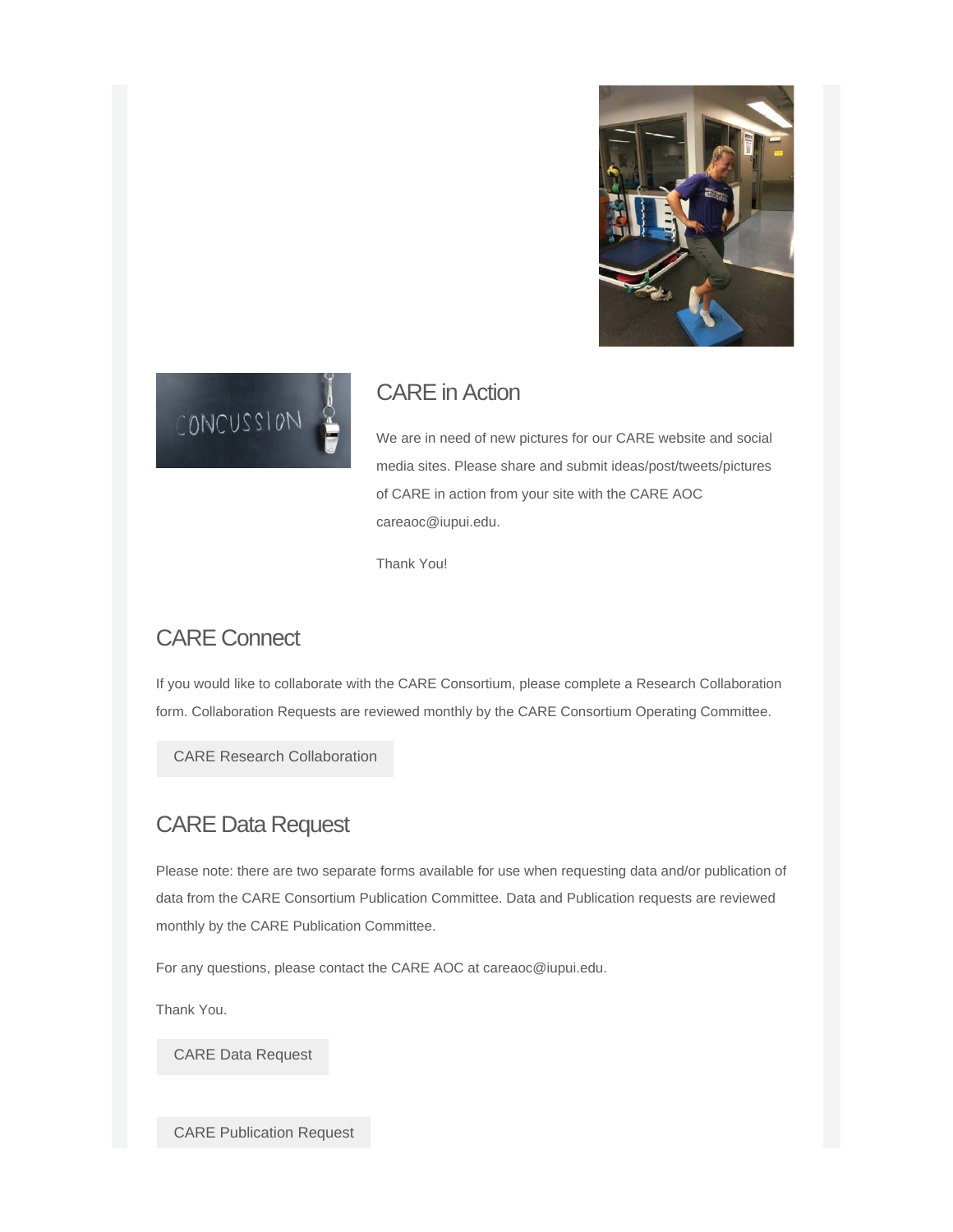

# CONCUSSION

#### CARE in Action

We are in need of new pictures for our CARE website and social media sites. Please share and submit ideas/post/tweets/pictures of CARE in action from your site with the CARE AOC careaoc@iupui.edu.

Thank You!

### CARE Connect

If you would like to collaborate with the CARE Consortium, please complete a Research Collaboration form. Collaboration Requests are reviewed monthly by the CARE Consortium Operating Committee.

[CARE Research Collaboration](http://careconsortium.net/mailster/1831/00000000000000000000000000000000/aHR0cHM6Ly9yZWRjYXAudWl0cy5pdS5lZHUvc3VydmV5cy8_cz1uZ1VRcHdpdUhH)

#### CARE Data Request

Please note: there are two separate forms available for use when requesting data and/or publication of data from the CARE Consortium Publication Committee. Data and Publication requests are reviewed monthly by the CARE Publication Committee.

For any questions, please contact the CARE AOC at careaoc@iupui.edu.

Thank You.

[CARE Data Request](http://careconsortium.net/mailster/1831/00000000000000000000000000000000/aHR0cHM6Ly9yZWRjYXAudWl0cy5pdS5lZHUvc3VydmV5cy8_cz1oOUNxNTQ3aU5h)

[CARE Publication Request](http://careconsortium.net/mailster/1831/00000000000000000000000000000000/aHR0cHM6Ly9yZWRjYXAudWl0cy5pdS5lZHUvc3VydmV5cy8_cz05RlkzV1g3RVlM)